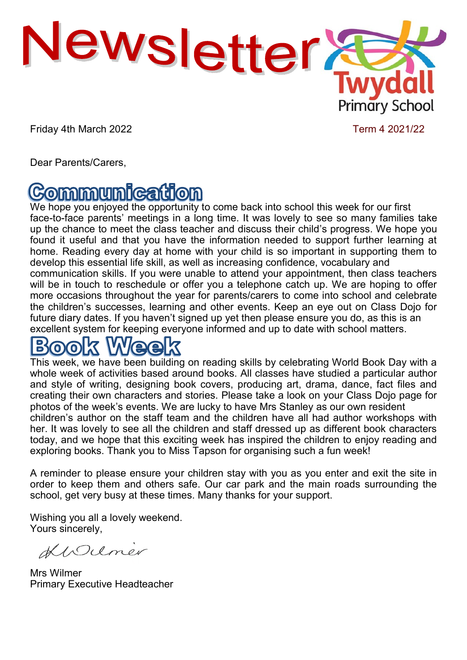

Friday 4th March 2022 Term 4 2021/22

Dear Parents/Carers,

## **Communication**

We hope you enjoyed the opportunity to come back into school this week for our first face-to-face parents' meetings in a long time. It was lovely to see so many families take up the chance to meet the class teacher and discuss their child's progress. We hope you found it useful and that you have the information needed to support further learning at home. Reading every day at home with your child is so important in supporting them to develop this essential life skill, as well as increasing confidence, vocabulary and communication skills. If you were unable to attend your appointment, then class teachers will be in touch to reschedule or offer you a telephone catch up. We are hoping to offer more occasions throughout the year for parents/carers to come into school and celebrate the children's successes, learning and other events. Keep an eye out on Class Dojo for future diary dates. If you haven't signed up yet then please ensure you do, as this is an excellent system for keeping everyone informed and up to date with school matters.

## k Week

This week, we have been building on reading skills by celebrating World Book Day with a whole week of activities based around books. All classes have studied a particular author and style of writing, designing book covers, producing art, drama, dance, fact files and creating their own characters and stories. Please take a look on your Class Dojo page for photos of the week's events. We are lucky to have Mrs Stanley as our own resident children's author on the staff team and the children have all had author workshops with her. It was lovely to see all the children and staff dressed up as different book characters today, and we hope that this exciting week has inspired the children to enjoy reading and exploring books. Thank you to Miss Tapson for organising such a fun week!

A reminder to please ensure your children stay with you as you enter and exit the site in order to keep them and others safe. Our car park and the main roads surrounding the school, get very busy at these times. Many thanks for your support.

Wishing you all a lovely weekend. Yours sincerely,

KWUmer

Mrs Wilmer Primary Executive Headteacher